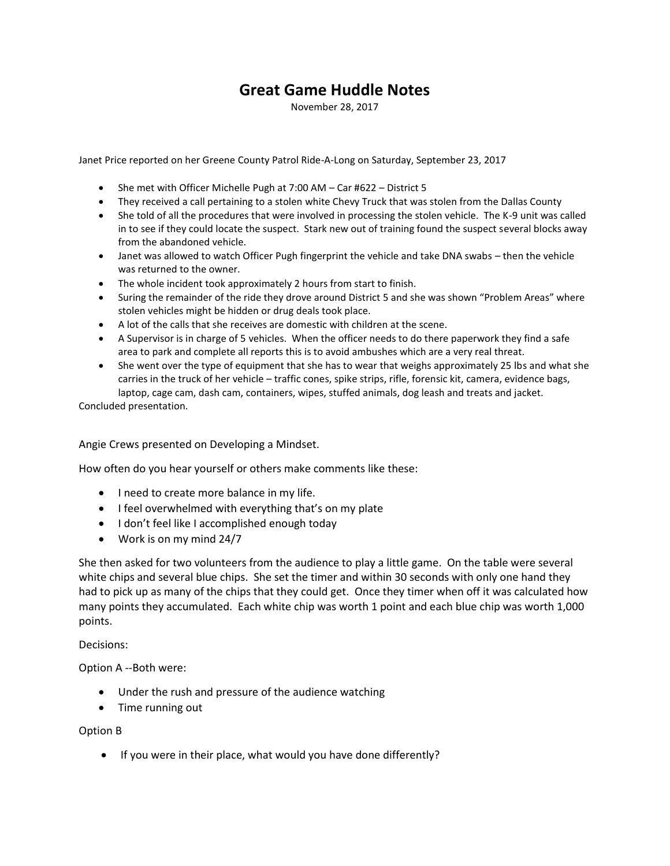## **Great Game Huddle Notes**

November 28, 2017

Janet Price reported on her Greene County Patrol Ride-A-Long on Saturday, September 23, 2017

- She met with Officer Michelle Pugh at 7:00 AM Car #622 District 5
- They received a call pertaining to a stolen white Chevy Truck that was stolen from the Dallas County
- She told of all the procedures that were involved in processing the stolen vehicle. The K-9 unit was called in to see if they could locate the suspect. Stark new out of training found the suspect several blocks away from the abandoned vehicle.
- Janet was allowed to watch Officer Pugh fingerprint the vehicle and take DNA swabs then the vehicle was returned to the owner.
- The whole incident took approximately 2 hours from start to finish.
- Suring the remainder of the ride they drove around District 5 and she was shown "Problem Areas" where stolen vehicles might be hidden or drug deals took place.
- A lot of the calls that she receives are domestic with children at the scene.
- A Supervisor is in charge of 5 vehicles. When the officer needs to do there paperwork they find a safe area to park and complete all reports this is to avoid ambushes which are a very real threat.
- She went over the type of equipment that she has to wear that weighs approximately 25 lbs and what she carries in the truck of her vehicle – traffic cones, spike strips, rifle, forensic kit, camera, evidence bags, laptop, cage cam, dash cam, containers, wipes, stuffed animals, dog leash and treats and jacket.

Concluded presentation.

Angie Crews presented on Developing a Mindset.

How often do you hear yourself or others make comments like these:

- I need to create more balance in my life.
- I feel overwhelmed with everything that's on my plate
- I don't feel like I accomplished enough today
- Work is on my mind 24/7

She then asked for two volunteers from the audience to play a little game. On the table were several white chips and several blue chips. She set the timer and within 30 seconds with only one hand they had to pick up as many of the chips that they could get. Once they timer when off it was calculated how many points they accumulated. Each white chip was worth 1 point and each blue chip was worth 1,000 points.

Decisions:

Option A --Both were:

- Under the rush and pressure of the audience watching
- Time running out

## Option B

If you were in their place, what would you have done differently?